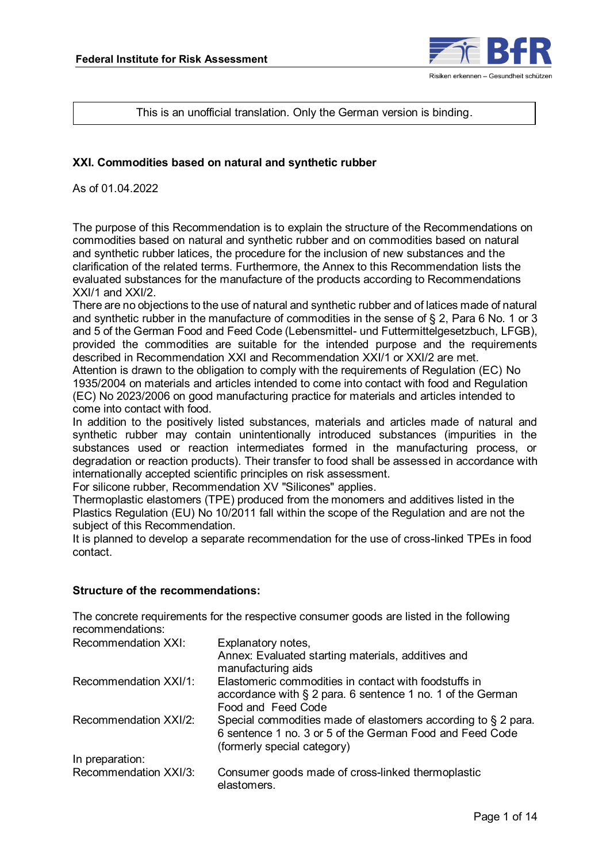

This is an unofficial translation. Only the German version is binding.

#### **XXI. Commodities based on natural and synthetic rubber**

As of 01.04.2022

The purpose of this Recommendation is to explain the structure of the Recommendations on commodities based on natural and synthetic rubber and on commodities based on natural and synthetic rubber latices, the procedure for the inclusion of new substances and the clarification of the related terms. Furthermore, the Annex to this Recommendation lists the evaluated substances for the manufacture of the products according to Recommendations XXI/1 and XXI/2.

There are no objections to the use of natural and synthetic rubber and of latices made of natural and synthetic rubber in the manufacture of commodities in the sense of § 2, Para 6 No. 1 or 3 and 5 of the German Food and Feed Code (Lebensmittel- und Futtermittelgesetzbuch, LFGB), provided the commodities are suitable for the intended purpose and the requirements described in Recommendation XXI and Recommendation XXI/1 or XXI/2 are met.

Attention is drawn to the obligation to comply with the requirements of Regulation (EC) No 1935/2004 on materials and articles intended to come into contact with food and Regulation (EC) No 2023/2006 on good manufacturing practice for materials and articles intended to come into contact with food.

In addition to the positively listed substances, materials and articles made of natural and synthetic rubber may contain unintentionally introduced substances (impurities in the substances used or reaction intermediates formed in the manufacturing process, or degradation or reaction products). Their transfer to food shall be assessed in accordance with internationally accepted scientific principles on risk assessment.

For silicone rubber, Recommendation XV "Silicones" applies.

Thermoplastic elastomers (TPE) produced from the monomers and additives listed in the Plastics Regulation (EU) No 10/2011 fall within the scope of the Regulation and are not the subject of this Recommendation.

It is planned to develop a separate recommendation for the use of cross-linked TPEs in food contact.

#### **Structure of the recommendations:**

The concrete requirements for the respective consumer goods are listed in the following recommendations:

| Recommendation XXI:   | Explanatory notes,                                                                                                                                       |
|-----------------------|----------------------------------------------------------------------------------------------------------------------------------------------------------|
|                       | Annex: Evaluated starting materials, additives and<br>manufacturing aids                                                                                 |
| Recommendation XXI/1: | Elastomeric commodities in contact with foodstuffs in                                                                                                    |
|                       | accordance with § 2 para. 6 sentence 1 no. 1 of the German                                                                                               |
|                       | Food and Feed Code                                                                                                                                       |
| Recommendation XXI/2: | Special commodities made of elastomers according to § 2 para.<br>6 sentence 1 no. 3 or 5 of the German Food and Feed Code<br>(formerly special category) |
| In preparation:       |                                                                                                                                                          |
| Recommendation XXI/3: | Consumer goods made of cross-linked thermoplastic<br>elastomers.                                                                                         |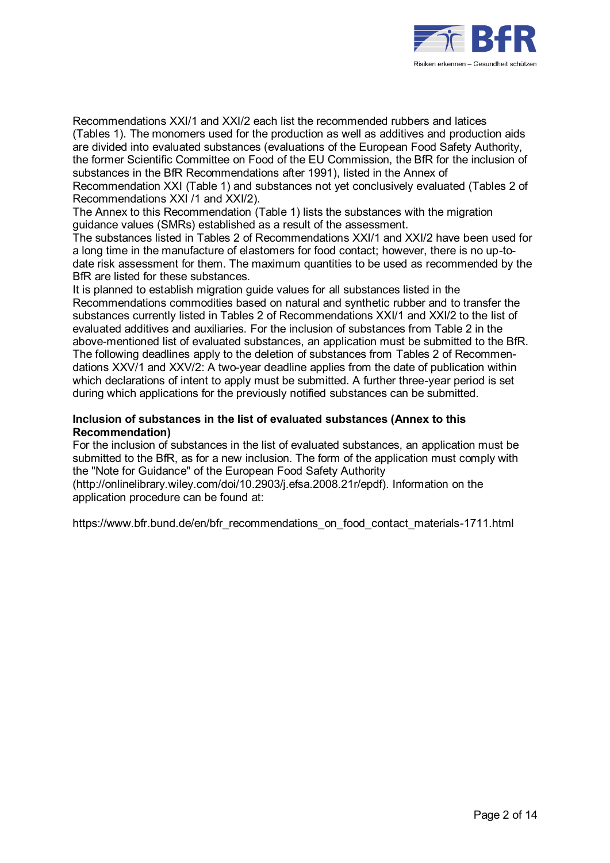

Recommendations XXI/1 and XXI/2 each list the recommended rubbers and latices (Tables 1). The monomers used for the production as well as additives and production aids are divided into evaluated substances (evaluations of the European Food Safety Authority, the former Scientific Committee on Food of the EU Commission, the BfR for the inclusion of substances in the BfR Recommendations after 1991), listed in the Annex of Recommendation XXI (Table 1) and substances not yet conclusively evaluated (Tables 2 of Recommendations XXI /1 and XXI/2).

The Annex to this Recommendation (Table 1) lists the substances with the migration guidance values (SMRs) established as a result of the assessment.

The substances listed in Tables 2 of Recommendations XXI/1 and XXI/2 have been used for a long time in the manufacture of elastomers for food contact; however, there is no up-todate risk assessment for them. The maximum quantities to be used as recommended by the BfR are listed for these substances.

It is planned to establish migration guide values for all substances listed in the Recommendations commodities based on natural and synthetic rubber and to transfer the substances currently listed in Tables 2 of Recommendations XXI/1 and XXI/2 to the list of evaluated additives and auxiliaries. For the inclusion of substances from Table 2 in the above-mentioned list of evaluated substances, an application must be submitted to the BfR. The following deadlines apply to the deletion of substances from Tables 2 of Recommendations XXV/1 and XXV/2: A two-year deadline applies from the date of publication within which declarations of intent to apply must be submitted. A further three-year period is set during which applications for the previously notified substances can be submitted.

#### **Inclusion of substances in the list of evaluated substances (Annex to this Recommendation)**

For the inclusion of substances in the list of evaluated substances, an application must be submitted to the BfR, as for a new inclusion. The form of the application must comply with the "Note for Guidance" of the European Food Safety Authority (http://onlinelibrary.wiley.com/doi/10.2903/j.efsa.2008.21r/epdf). Information on the

application procedure can be found at:

https://www.bfr.bund.de/en/bfr\_recommendations\_on\_food\_contact\_materials-1711.html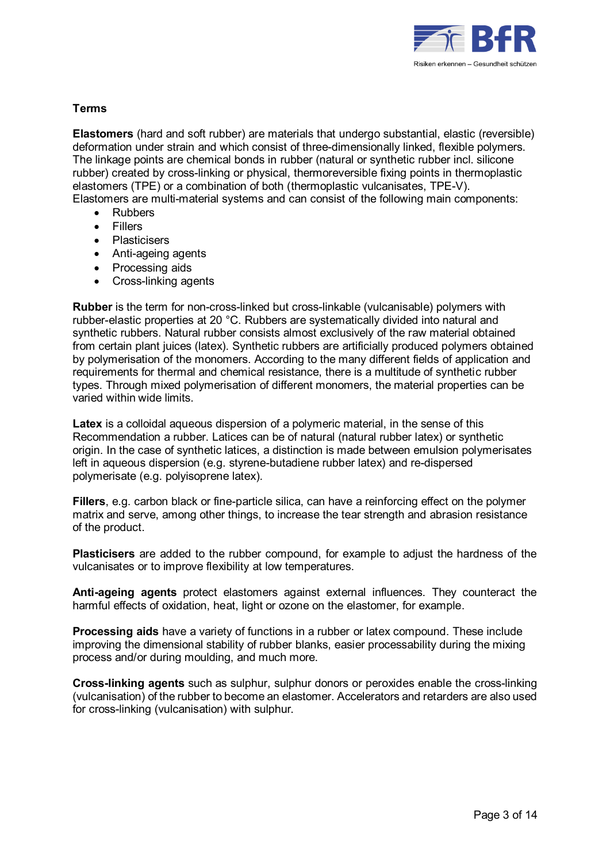

#### **Terms**

**Elastomers** (hard and soft rubber) are materials that undergo substantial, elastic (reversible) deformation under strain and which consist of three-dimensionally linked, flexible polymers. The linkage points are chemical bonds in rubber (natural or synthetic rubber incl. silicone rubber) created by cross-linking or physical, thermoreversible fixing points in thermoplastic elastomers (TPE) or a combination of both (thermoplastic vulcanisates, TPE-V).

- Elastomers are multi-material systems and can consist of the following main components:
	- Rubbers
	- Fillers
	- Plasticisers
	- Anti-ageing agents
	- Processing aids
	- Cross-linking agents

**Rubber** is the term for non-cross-linked but cross-linkable (vulcanisable) polymers with rubber-elastic properties at 20 °C. Rubbers are systematically divided into natural and synthetic rubbers. Natural rubber consists almost exclusively of the raw material obtained from certain plant juices (latex). Synthetic rubbers are artificially produced polymers obtained by polymerisation of the monomers. According to the many different fields of application and requirements for thermal and chemical resistance, there is a multitude of synthetic rubber types. Through mixed polymerisation of different monomers, the material properties can be varied within wide limits.

**Latex** is a colloidal aqueous dispersion of a polymeric material, in the sense of this Recommendation a rubber. Latices can be of natural (natural rubber latex) or synthetic origin. In the case of synthetic latices, a distinction is made between emulsion polymerisates left in aqueous dispersion (e.g. styrene-butadiene rubber latex) and re-dispersed polymerisate (e.g. polyisoprene latex).

**Fillers**, e.g. carbon black or fine-particle silica, can have a reinforcing effect on the polymer matrix and serve, among other things, to increase the tear strength and abrasion resistance of the product.

**Plasticisers** are added to the rubber compound, for example to adjust the hardness of the vulcanisates or to improve flexibility at low temperatures.

**Anti-ageing agents** protect elastomers against external influences. They counteract the harmful effects of oxidation, heat, light or ozone on the elastomer, for example.

**Processing aids** have a variety of functions in a rubber or latex compound. These include improving the dimensional stability of rubber blanks, easier processability during the mixing process and/or during moulding, and much more.

**Cross-linking agents** such as sulphur, sulphur donors or peroxides enable the cross-linking (vulcanisation) of the rubber to become an elastomer. Accelerators and retarders are also used for cross-linking (vulcanisation) with sulphur.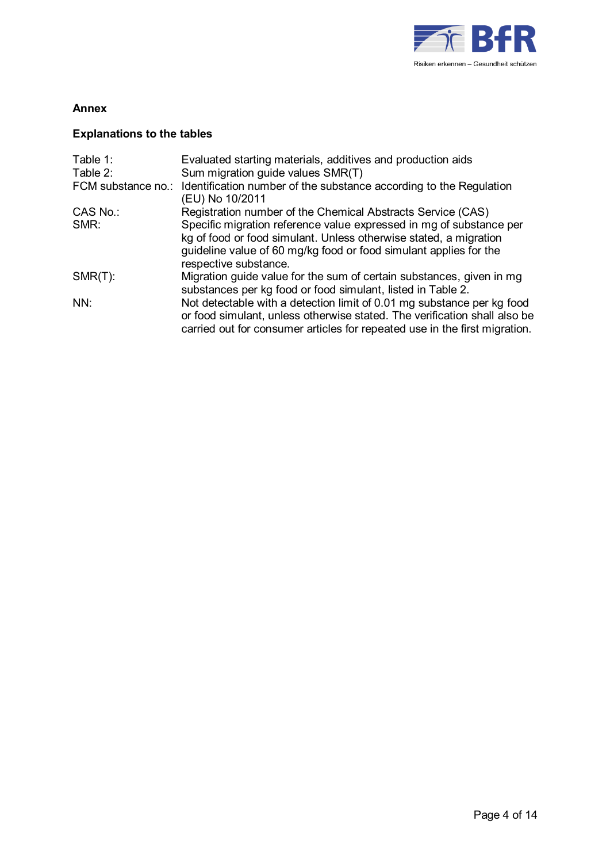

### **Annex**

## **Explanations to the tables**

| Table 1:<br>Table 2: | Evaluated starting materials, additives and production aids<br>Sum migration guide values SMR(T)                                                                                                                                       |
|----------------------|----------------------------------------------------------------------------------------------------------------------------------------------------------------------------------------------------------------------------------------|
| FCM substance no.:   | Identification number of the substance according to the Regulation<br>(EU) No 10/2011                                                                                                                                                  |
| CAS No.:             | Registration number of the Chemical Abstracts Service (CAS)                                                                                                                                                                            |
| SMR:                 | Specific migration reference value expressed in mg of substance per<br>kg of food or food simulant. Unless otherwise stated, a migration<br>guideline value of 60 mg/kg food or food simulant applies for the<br>respective substance. |
| $SMR(T)$ :           | Migration guide value for the sum of certain substances, given in mg<br>substances per kg food or food simulant, listed in Table 2.                                                                                                    |
| NN:                  | Not detectable with a detection limit of 0.01 mg substance per kg food<br>or food simulant, unless otherwise stated. The verification shall also be<br>carried out for consumer articles for repeated use in the first migration.      |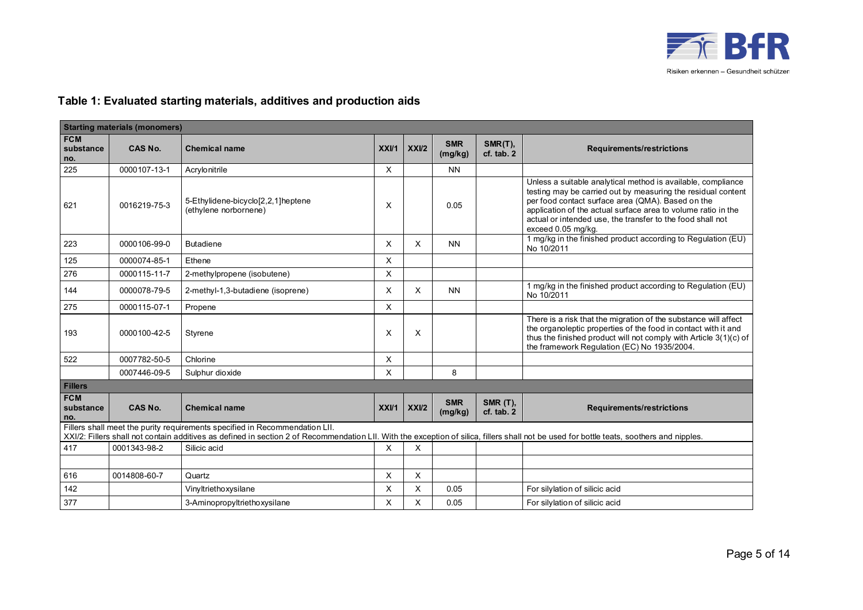

## **Table 1: Evaluated starting materials, additives and production aids**

| <b>Starting materials (monomers)</b> |              |                                                                                                                                                                                                                                                                          |      |                   |                       |                               |                                                                                                                                                                                                                                                                                                                                        |  |  |
|--------------------------------------|--------------|--------------------------------------------------------------------------------------------------------------------------------------------------------------------------------------------------------------------------------------------------------------------------|------|-------------------|-----------------------|-------------------------------|----------------------------------------------------------------------------------------------------------------------------------------------------------------------------------------------------------------------------------------------------------------------------------------------------------------------------------------|--|--|
| <b>FCM</b><br>substance<br>no.       | CAS No.      | <b>Chemical name</b>                                                                                                                                                                                                                                                     | XXU1 | XX <sub>U</sub> 2 | <b>SMR</b><br>(mg/kg) | SMR(T),<br>cf. tab. 2         | Requirements/restrictions                                                                                                                                                                                                                                                                                                              |  |  |
| 225                                  | 0000107-13-1 | Acrylonitrile                                                                                                                                                                                                                                                            | X    |                   | <b>NN</b>             |                               |                                                                                                                                                                                                                                                                                                                                        |  |  |
| 621                                  | 0016219-75-3 | 5-Ethylidene-bicyclo[2,2,1]heptene<br>(ethylene norbornene)                                                                                                                                                                                                              | X    |                   | 0.05                  |                               | Unless a suitable analytical method is available, compliance<br>testing may be carried out by measuring the residual content<br>per food contact surface area (QMA). Based on the<br>application of the actual surface area to volume ratio in the<br>actual or intended use, the transfer to the food shall not<br>exceed 0.05 mg/kg. |  |  |
| 223                                  | 0000106-99-0 | <b>Butadiene</b>                                                                                                                                                                                                                                                         | X    | $\times$          | <b>NN</b>             |                               | 1 mg/kg in the finished product according to Regulation (EU)<br>No 10/2011                                                                                                                                                                                                                                                             |  |  |
| 125                                  | 0000074-85-1 | Ethene                                                                                                                                                                                                                                                                   | X    |                   |                       |                               |                                                                                                                                                                                                                                                                                                                                        |  |  |
| 276                                  | 0000115-11-7 | 2-methylpropene (isobutene)                                                                                                                                                                                                                                              | X    |                   |                       |                               |                                                                                                                                                                                                                                                                                                                                        |  |  |
| 144                                  | 0000078-79-5 | 2-methyl-1,3-butadiene (isoprene)                                                                                                                                                                                                                                        | X    | $\times$          | <b>NN</b>             |                               | 1 mg/kg in the finished product according to Regulation (EU)<br>No 10/2011                                                                                                                                                                                                                                                             |  |  |
| 275                                  | 0000115-07-1 | Propene                                                                                                                                                                                                                                                                  | X    |                   |                       |                               |                                                                                                                                                                                                                                                                                                                                        |  |  |
| 193                                  | 0000100-42-5 | Styrene                                                                                                                                                                                                                                                                  | X    | X                 |                       |                               | There is a risk that the migration of the substance will affect<br>the organoleptic properties of the food in contact with it and<br>thus the finished product will not comply with Article 3(1)(c) of<br>the framework Regulation (EC) No 1935/2004.                                                                                  |  |  |
| 522                                  | 0007782-50-5 | Chlorine                                                                                                                                                                                                                                                                 | X    |                   |                       |                               |                                                                                                                                                                                                                                                                                                                                        |  |  |
|                                      | 0007446-09-5 | Sulphur dioxide                                                                                                                                                                                                                                                          | X    |                   | 8                     |                               |                                                                                                                                                                                                                                                                                                                                        |  |  |
| <b>Fillers</b>                       |              |                                                                                                                                                                                                                                                                          |      |                   |                       |                               |                                                                                                                                                                                                                                                                                                                                        |  |  |
| <b>FCM</b><br>substance<br>no.       | CAS No.      | <b>Chemical name</b>                                                                                                                                                                                                                                                     | XXVI | XXII2             | <b>SMR</b><br>(mg/kg) | <b>SMR (T),</b><br>cf. tab. 2 | <b>Requirements/restrictions</b>                                                                                                                                                                                                                                                                                                       |  |  |
|                                      |              | Fillers shall meet the purity requirements specified in Recommendation LII.<br>XXI/2: Fillers shall not contain additives as defined in section 2 of Recommendation LII. With the exception of silica, fillers shall not be used for bottle teats, soothers and nipples. |      |                   |                       |                               |                                                                                                                                                                                                                                                                                                                                        |  |  |
| 417                                  | 0001343-98-2 | Silicic acid                                                                                                                                                                                                                                                             | X    | X                 |                       |                               |                                                                                                                                                                                                                                                                                                                                        |  |  |
|                                      |              |                                                                                                                                                                                                                                                                          |      |                   |                       |                               |                                                                                                                                                                                                                                                                                                                                        |  |  |
| 616                                  | 0014808-60-7 | Quartz                                                                                                                                                                                                                                                                   | X    | $\times$          |                       |                               |                                                                                                                                                                                                                                                                                                                                        |  |  |
| 142                                  |              | Vinyltriethoxysilane                                                                                                                                                                                                                                                     | X    | X                 | 0.05                  |                               | For silylation of silicic acid                                                                                                                                                                                                                                                                                                         |  |  |
| 377                                  |              | 3-Aminopropyltriethoxysilane                                                                                                                                                                                                                                             | Χ    | X                 | 0.05                  |                               | For silylation of silicic acid                                                                                                                                                                                                                                                                                                         |  |  |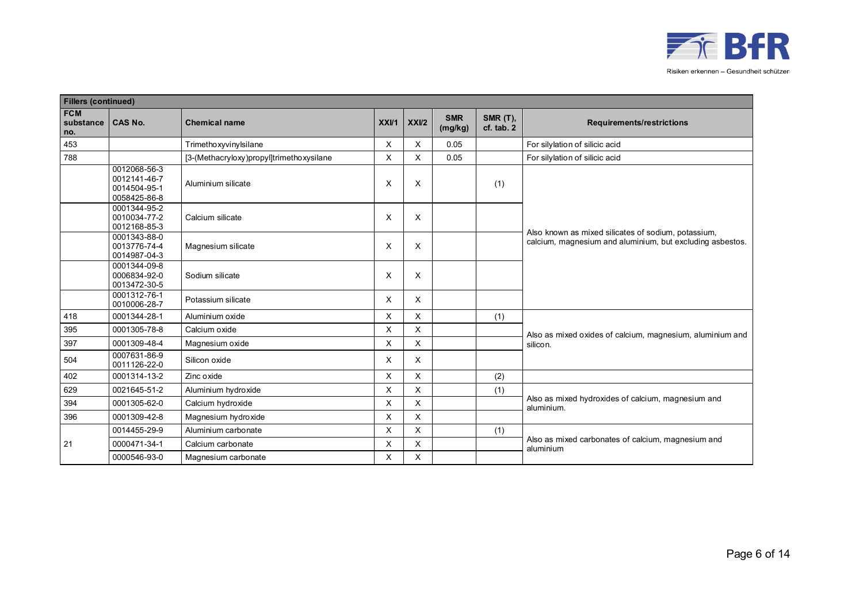

|                                | <b>Fillers (continued)</b>                                   |                                          |      |          |                       |                               |                                                                                                                  |  |  |  |  |
|--------------------------------|--------------------------------------------------------------|------------------------------------------|------|----------|-----------------------|-------------------------------|------------------------------------------------------------------------------------------------------------------|--|--|--|--|
| <b>FCM</b><br>substance<br>no. | <b>CAS No.</b>                                               | <b>Chemical name</b>                     | XXVI | XXI/2    | <b>SMR</b><br>(mg/kg) | <b>SMR (T),</b><br>cf. tab. 2 | <b>Requirements/restrictions</b>                                                                                 |  |  |  |  |
| 453                            |                                                              | Trimethoxyvinylsilane                    | X    | X        | 0.05                  |                               | For silylation of silicic acid                                                                                   |  |  |  |  |
| 788                            |                                                              | [3-(Methacryloxy)propyl]trimethoxysilane | X    | X        | 0.05                  |                               | For silylation of silicic acid                                                                                   |  |  |  |  |
|                                | 0012068-56-3<br>0012141-46-7<br>0014504-95-1<br>0058425-86-8 | Aluminium silicate                       | X    | X        |                       | (1)                           |                                                                                                                  |  |  |  |  |
|                                | 0001344-95-2<br>0010034-77-2<br>0012168-85-3                 | Calcium silicate                         | X    | X        |                       |                               |                                                                                                                  |  |  |  |  |
|                                | 0001343-88-0<br>0013776-74-4<br>0014987-04-3                 | Magnesium silicate                       | X    | X        |                       |                               | Also known as mixed silicates of sodium, potassium,<br>calcium, magnesium and aluminium, but excluding asbestos. |  |  |  |  |
|                                | 0001344-09-8<br>0006834-92-0<br>0013472-30-5                 | Sodium silicate                          | X    | Χ        |                       |                               |                                                                                                                  |  |  |  |  |
|                                | 0001312-76-1<br>0010006-28-7                                 | Potassium silicate                       | X    | $\times$ |                       |                               |                                                                                                                  |  |  |  |  |
| 418                            | 0001344-28-1                                                 | Aluminium oxide                          | X    | X        |                       | (1)                           |                                                                                                                  |  |  |  |  |
| 395                            | 0001305-78-8                                                 | Calcium oxide                            | X    | $\times$ |                       |                               | Also as mixed oxides of calcium, magnesium, aluminium and                                                        |  |  |  |  |
| 397                            | 0001309-48-4                                                 | Magnesium oxide                          | X    | X        |                       |                               | silicon.                                                                                                         |  |  |  |  |
| 504                            | 0007631-86-9<br>0011126-22-0                                 | Silicon oxide                            | X    | X        |                       |                               |                                                                                                                  |  |  |  |  |
| 402                            | 0001314-13-2                                                 | Zinc oxide                               | X    | $\times$ |                       | (2)                           |                                                                                                                  |  |  |  |  |
| 629                            | 0021645-51-2                                                 | Aluminium hydroxide                      | X    | X        |                       | (1)                           |                                                                                                                  |  |  |  |  |
| 394                            | 0001305-62-0                                                 | Calcium hydroxide                        | X    | X        |                       |                               | Also as mixed hydroxides of calcium, magnesium and<br>aluminium.                                                 |  |  |  |  |
| 396                            | 0001309-42-8                                                 | Magnesium hydroxide                      | X    | X        |                       |                               |                                                                                                                  |  |  |  |  |
|                                | 0014455-29-9                                                 | Aluminium carbonate                      | Χ    | X        |                       | (1)                           |                                                                                                                  |  |  |  |  |
| 21                             | 0000471-34-1                                                 | Calcium carbonate                        | X    | X        |                       |                               | Also as mixed carbonates of calcium, magnesium and<br>aluminium                                                  |  |  |  |  |
|                                | 0000546-93-0                                                 | Magnesium carbonate                      | X    | $\times$ |                       |                               |                                                                                                                  |  |  |  |  |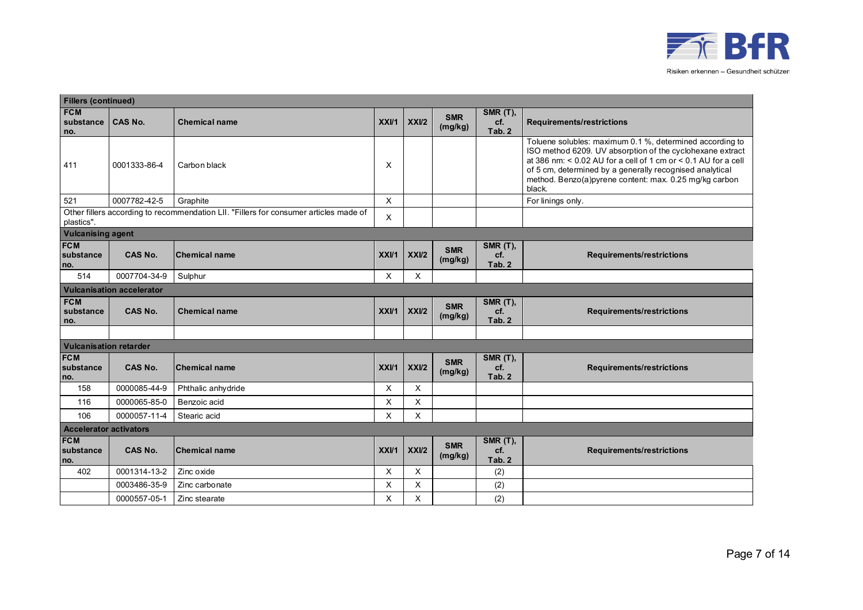

| <b>Fillers (continued)</b>     |                                  |                                                                                       |      |                   |                       |                                  |                                                                                                                                                                                                                                                                                                                             |  |  |
|--------------------------------|----------------------------------|---------------------------------------------------------------------------------------|------|-------------------|-----------------------|----------------------------------|-----------------------------------------------------------------------------------------------------------------------------------------------------------------------------------------------------------------------------------------------------------------------------------------------------------------------------|--|--|
| <b>FCM</b><br>substance<br>no. | <b>CAS No.</b>                   | <b>Chemical name</b>                                                                  | XXVI | XXII2             | <b>SMR</b><br>(mg/kg) | <b>SMR (T),</b><br>cf.<br>Tab. 2 | <b>Requirements/restrictions</b>                                                                                                                                                                                                                                                                                            |  |  |
| 411                            | 0001333-86-4                     | Carbon black                                                                          | Х    |                   |                       |                                  | Toluene solubles: maximum 0.1 %, determined according to<br>ISO method 6209. UV absorption of the cyclohexane extract<br>at 386 nm: $< 0.02$ AU for a cell of 1 cm or $< 0.1$ AU for a cell<br>of 5 cm, determined by a generally recognised analytical<br>method. Benzo(a)pyrene content: max. 0.25 mg/kg carbon<br>black. |  |  |
| 521                            | 0007782-42-5                     | Graphite                                                                              | X    |                   |                       |                                  | For linings only.                                                                                                                                                                                                                                                                                                           |  |  |
| plastics".                     |                                  | Other fillers according to recommendation LII. "Fillers for consumer articles made of | X    |                   |                       |                                  |                                                                                                                                                                                                                                                                                                                             |  |  |
| <b>Vulcanising agent</b>       |                                  |                                                                                       |      |                   |                       |                                  |                                                                                                                                                                                                                                                                                                                             |  |  |
| <b>FCM</b><br>substance<br>no. | <b>CAS No.</b>                   | <b>Chemical name</b>                                                                  | XXVI | XXU2              | <b>SMR</b><br>(mg/kg) | <b>SMR (T),</b><br>cf.<br>Tab. 2 | <b>Requirements/restrictions</b>                                                                                                                                                                                                                                                                                            |  |  |
| 514                            | 0007704-34-9                     | Sulphur                                                                               | X    | X                 |                       |                                  |                                                                                                                                                                                                                                                                                                                             |  |  |
|                                | <b>Vulcanisation accelerator</b> |                                                                                       |      |                   |                       |                                  |                                                                                                                                                                                                                                                                                                                             |  |  |
| <b>FCM</b><br>substance<br>no. | <b>CAS No.</b>                   | <b>Chemical name</b>                                                                  | XXVI | XX <sub>U</sub> 2 | <b>SMR</b><br>(mg/kg) | <b>SMR (T),</b><br>cf.<br>Tab. 2 | <b>Requirements/restrictions</b>                                                                                                                                                                                                                                                                                            |  |  |
|                                |                                  |                                                                                       |      |                   |                       |                                  |                                                                                                                                                                                                                                                                                                                             |  |  |
| <b>Vulcanisation retarder</b>  |                                  |                                                                                       |      |                   |                       |                                  |                                                                                                                                                                                                                                                                                                                             |  |  |
| <b>FCM</b><br>substance<br>no. | <b>CAS No.</b>                   | <b>Chemical name</b>                                                                  | XXVI | XXII2             | <b>SMR</b><br>(mg/kg) | <b>SMR (T),</b><br>cf.<br>Tab. 2 | <b>Requirements/restrictions</b>                                                                                                                                                                                                                                                                                            |  |  |
| 158                            | 0000085-44-9                     | Phthalic anhydride                                                                    | X    | X                 |                       |                                  |                                                                                                                                                                                                                                                                                                                             |  |  |
| 116                            | 0000065-85-0                     | Benzoic acid                                                                          | X    | Χ                 |                       |                                  |                                                                                                                                                                                                                                                                                                                             |  |  |
| 106                            | 0000057-11-4                     | Stearic acid                                                                          | X    | X                 |                       |                                  |                                                                                                                                                                                                                                                                                                                             |  |  |
| <b>Accelerator activators</b>  |                                  |                                                                                       |      |                   |                       |                                  |                                                                                                                                                                                                                                                                                                                             |  |  |
| <b>FCM</b><br>substance<br>no. | <b>CAS No.</b>                   | <b>Chemical name</b>                                                                  | XXU1 | XXI/2             | <b>SMR</b><br>(mg/kg) | <b>SMR (T),</b><br>cf.<br>Tab. 2 | <b>Requirements/restrictions</b>                                                                                                                                                                                                                                                                                            |  |  |
| 402                            | 0001314-13-2                     | Zinc oxide                                                                            | X    | X                 |                       | (2)                              |                                                                                                                                                                                                                                                                                                                             |  |  |
|                                | 0003486-35-9                     | Zinc carbonate                                                                        | X    | X                 |                       | (2)                              |                                                                                                                                                                                                                                                                                                                             |  |  |
|                                | 0000557-05-1                     | Zinc stearate                                                                         | X    | X                 |                       | (2)                              |                                                                                                                                                                                                                                                                                                                             |  |  |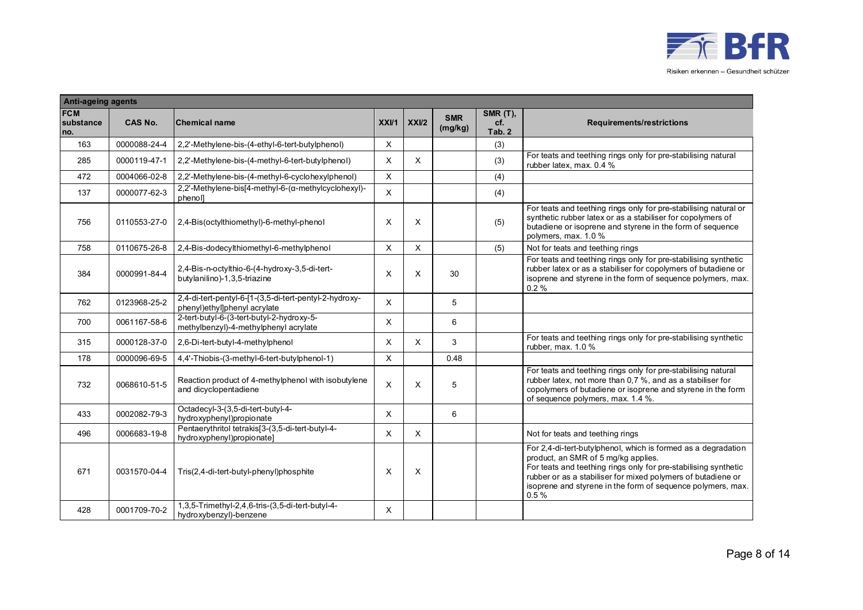

| <b>Anti-ageing agents</b>      |                |                                                                                        |             |                           |                       |                                  |                                                                                                                                                                                                                                                                                                                |  |  |
|--------------------------------|----------------|----------------------------------------------------------------------------------------|-------------|---------------------------|-----------------------|----------------------------------|----------------------------------------------------------------------------------------------------------------------------------------------------------------------------------------------------------------------------------------------------------------------------------------------------------------|--|--|
| <b>FCM</b><br>substance<br>no. | <b>CAS No.</b> | <b>Chemical name</b>                                                                   | XXVI        | XXU2                      | <b>SMR</b><br>(mg/kg) | <b>SMR (T),</b><br>cf.<br>Tab. 2 | <b>Requirements/restrictions</b>                                                                                                                                                                                                                                                                               |  |  |
| 163                            | 0000088-24-4   | 2,2'-Methylene-bis-(4-ethyl-6-tert-butylphenol)                                        | X           |                           |                       | (3)                              |                                                                                                                                                                                                                                                                                                                |  |  |
| 285                            | 0000119-47-1   | 2.2'-Methylene-bis-(4-methyl-6-tert-butylphenol)                                       | X           | X                         |                       | (3)                              | For teats and teething rings only for pre-stabilising natural<br>rubber latex, max. 0.4 %                                                                                                                                                                                                                      |  |  |
| 472                            | 0004066-02-8   | 2,2'-Methylene-bis-(4-methyl-6-cyclohexylphenol)                                       | $\mathsf X$ |                           |                       | (4)                              |                                                                                                                                                                                                                                                                                                                |  |  |
| 137                            | 0000077-62-3   | 2,2'-Methylene-bis[4-methyl-6-(a-methylcyclohexyl)-<br>phenol]                         | $\times$    |                           |                       | (4)                              |                                                                                                                                                                                                                                                                                                                |  |  |
| 756                            | 0110553-27-0   | 2,4-Bis(octylthiomethyl)-6-methyl-phenol                                               | X           | X                         |                       | (5)                              | For teats and teething rings only for pre-stabilising natural or<br>synthetic rubber latex or as a stabiliser for copolymers of<br>butadiene or isoprene and styrene in the form of sequence<br>polymers, max. 1.0 %                                                                                           |  |  |
| 758                            | 0110675-26-8   | 2,4-Bis-dodecylthiomethyl-6-methylphenol                                               | X           | X                         |                       | (5)                              | Not for teats and teething rings                                                                                                                                                                                                                                                                               |  |  |
| 384                            | 0000991-84-4   | 2,4-Bis-n-octylthio-6-(4-hydroxy-3,5-di-tert-<br>butylanilino)-1,3,5-triazine          | X           | X                         | 30                    |                                  | For teats and teething rings only for pre-stabilising synthetic<br>rubber latex or as a stabiliser for copolymers of butadiene or<br>isoprene and styrene in the form of sequence polymers, max.<br>0.2%                                                                                                       |  |  |
| 762                            | 0123968-25-2   | 2,4-di-tert-pentyl-6-[1-(3,5-di-tert-pentyl-2-hydroxy-<br>phenyl)ethyl]phenyl acrylate | X           |                           | 5                     |                                  |                                                                                                                                                                                                                                                                                                                |  |  |
| 700                            | 0061167-58-6   | 2-tert-butyl-6-(3-tert-butyl-2-hydroxy-5-<br>methylbenzyl)-4-methylphenyl acrylate     | X           |                           | 6                     |                                  |                                                                                                                                                                                                                                                                                                                |  |  |
| 315                            | 0000128-37-0   | 2,6-Di-tert-butyl-4-methylphenol                                                       | X           | $\boldsymbol{\mathsf{x}}$ | 3                     |                                  | For teats and teething rings only for pre-stabilising synthetic<br>rubber, max. 1.0 %                                                                                                                                                                                                                          |  |  |
| 178                            | 0000096-69-5   | 4.4'-Thiobis-(3-methyl-6-tert-butylphenol-1)                                           | X           |                           | 0.48                  |                                  |                                                                                                                                                                                                                                                                                                                |  |  |
| 732                            | 0068610-51-5   | Reaction product of 4-methylphenol with isobutylene<br>and dicyclopentadiene           | X           | X                         | 5                     |                                  | For teats and teething rings only for pre-stabilising natural<br>rubber latex, not more than 0,7 %, and as a stabiliser for<br>copolymers of butadiene or isoprene and styrene in the form<br>of sequence polymers, max. 1.4 %.                                                                                |  |  |
| 433                            | 0002082-79-3   | Octadecyl-3-(3,5-di-tert-butyl-4-<br>hydroxyphenyl)propionate                          | X           |                           | 6                     |                                  |                                                                                                                                                                                                                                                                                                                |  |  |
| 496                            | 0006683-19-8   | Pentaerythritol tetrakis[3-(3,5-di-tert-butyl-4-<br>hydroxyphenyl)propionate]          | X           | X                         |                       |                                  | Not for teats and teething rings                                                                                                                                                                                                                                                                               |  |  |
| 671                            | 0031570-04-4   | Tris(2,4-di-tert-butyl-phenyl)phosphite                                                | X           | X                         |                       |                                  | For 2.4-di-tert-butylphenol, which is formed as a degradation<br>product, an SMR of 5 mg/kg applies.<br>For teats and teething rings only for pre-stabilising synthetic<br>rubber or as a stabiliser for mixed polymers of butadiene or<br>isoprene and styrene in the form of sequence polymers, max.<br>0.5% |  |  |
| 428                            | 0001709-70-2   | 1,3,5-Trimethyl-2,4,6-tris-(3,5-di-tert-butyl-4-<br>hydroxybenzyl)-benzene             | X           |                           |                       |                                  |                                                                                                                                                                                                                                                                                                                |  |  |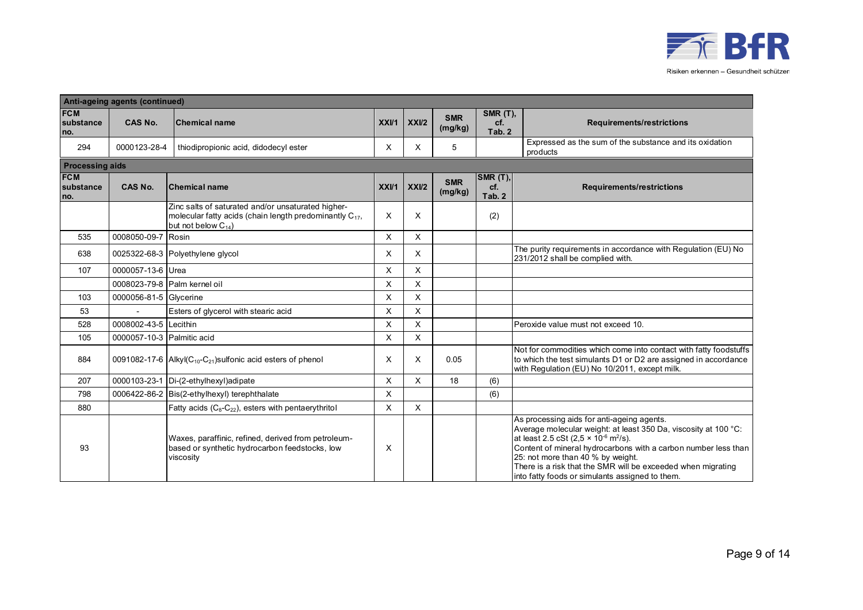

| Anti-ageing agents (continued) |                            |                                                                                                                                                |      |          |                       |                                  |                                                                                                                                                                                                                                                                                                                                                                                                                |  |  |  |
|--------------------------------|----------------------------|------------------------------------------------------------------------------------------------------------------------------------------------|------|----------|-----------------------|----------------------------------|----------------------------------------------------------------------------------------------------------------------------------------------------------------------------------------------------------------------------------------------------------------------------------------------------------------------------------------------------------------------------------------------------------------|--|--|--|
| <b>FCM</b><br>substance<br>no. | <b>CAS No.</b>             | <b>Chemical name</b>                                                                                                                           | XXVI | XXI/2    | <b>SMR</b><br>(mg/kg) | <b>SMR (T),</b><br>cf.<br>Tab. 2 | <b>Requirements/restrictions</b>                                                                                                                                                                                                                                                                                                                                                                               |  |  |  |
| 294                            | 0000123-28-4               | thiodipropionic acid, didodecyl ester                                                                                                          | х    | X        | 5                     |                                  | Expressed as the sum of the substance and its oxidation<br>products                                                                                                                                                                                                                                                                                                                                            |  |  |  |
| <b>Processing aids</b>         |                            |                                                                                                                                                |      |          |                       |                                  |                                                                                                                                                                                                                                                                                                                                                                                                                |  |  |  |
| <b>FCM</b><br>substance<br>no. | <b>CAS No.</b>             | <b>Chemical name</b>                                                                                                                           | XXV1 | XXII2    | <b>SMR</b><br>(mg/kg) | SMR(T), <br>cf.<br>Tab. 2        | <b>Requirements/restrictions</b>                                                                                                                                                                                                                                                                                                                                                                               |  |  |  |
|                                |                            | Zinc salts of saturated and/or unsaturated higher-<br>molecular fatty acids (chain length predominantly $C_{17}$ ,<br>but not below $C_{14}$ ) | X    | X        |                       | (2)                              |                                                                                                                                                                                                                                                                                                                                                                                                                |  |  |  |
| 535                            | 0008050-09-7 Rosin         |                                                                                                                                                | X    | $\times$ |                       |                                  |                                                                                                                                                                                                                                                                                                                                                                                                                |  |  |  |
| 638                            |                            | 0025322-68-3 Polyethylene glycol                                                                                                               | X    | X        |                       |                                  | The purity requirements in accordance with Regulation (EU) No<br>231/2012 shall be complied with.                                                                                                                                                                                                                                                                                                              |  |  |  |
| 107                            | 0000057-13-6 Urea          |                                                                                                                                                | X    | X        |                       |                                  |                                                                                                                                                                                                                                                                                                                                                                                                                |  |  |  |
|                                |                            | 0008023-79-8 Palm kernel oil                                                                                                                   | X    | X        |                       |                                  |                                                                                                                                                                                                                                                                                                                                                                                                                |  |  |  |
| 103                            | 0000056-81-5 Glycerine     |                                                                                                                                                | X    | $\times$ |                       |                                  |                                                                                                                                                                                                                                                                                                                                                                                                                |  |  |  |
| 53                             | $\mathbf{r}$               | Esters of glycerol with stearic acid                                                                                                           | X    | X        |                       |                                  |                                                                                                                                                                                                                                                                                                                                                                                                                |  |  |  |
| 528                            | 0008002-43-5 Lecithin      |                                                                                                                                                | X    | X        |                       |                                  | Peroxide value must not exceed 10.                                                                                                                                                                                                                                                                                                                                                                             |  |  |  |
| 105                            | 0000057-10-3 Palmitic acid |                                                                                                                                                | X    | X        |                       |                                  |                                                                                                                                                                                                                                                                                                                                                                                                                |  |  |  |
| 884                            |                            | 0091082-17-6 Alkyl $(C_{10}$ - $C_{21})$ sulfonic acid esters of phenol                                                                        | X    | X        | 0.05                  |                                  | Not for commodities which come into contact with fatty foodstuffs<br>to which the test simulants D1 or D2 are assigned in accordance<br>with Regulation (EU) No 10/2011, except milk.                                                                                                                                                                                                                          |  |  |  |
| 207                            |                            | 0000103-23-1 Di-(2-ethylhexyl)adipate                                                                                                          | X    | X        | 18                    | (6)                              |                                                                                                                                                                                                                                                                                                                                                                                                                |  |  |  |
| 798                            |                            | 0006422-86-2 Bis(2-ethylhexyl) terephthalate                                                                                                   | X    |          |                       | (6)                              |                                                                                                                                                                                                                                                                                                                                                                                                                |  |  |  |
| 880                            |                            | Fatty acids (C <sub>8</sub> -C <sub>22</sub> ), esters with pentaerythritol                                                                    | X    | $\times$ |                       |                                  |                                                                                                                                                                                                                                                                                                                                                                                                                |  |  |  |
| 93                             |                            | Waxes, paraffinic, refined, derived from petroleum-<br>based or synthetic hydrocarbon feedstocks, low<br>viscosity                             | X    |          |                       |                                  | As processing aids for anti-ageing agents.<br>Average molecular weight: at least 350 Da, viscosity at 100 °C:<br>at least 2.5 cSt (2,5 $\times$ 10 <sup>-6</sup> m <sup>2</sup> /s).<br>Content of mineral hydrocarbons with a carbon number less than<br>25: not more than 40 % by weight.<br>There is a risk that the SMR will be exceeded when migrating<br>into fatty foods or simulants assigned to them. |  |  |  |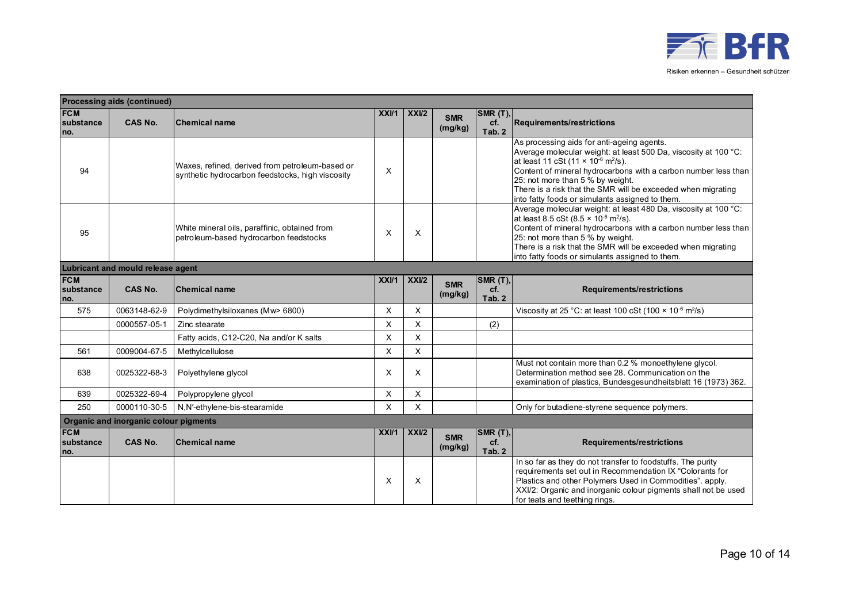

|                                   | <b>Processing aids (continued)</b>    |                                                                                                     |      |          |                       |                                  |                                                                                                                                                                                                                                                                                                                                                                                                             |  |  |  |
|-----------------------------------|---------------------------------------|-----------------------------------------------------------------------------------------------------|------|----------|-----------------------|----------------------------------|-------------------------------------------------------------------------------------------------------------------------------------------------------------------------------------------------------------------------------------------------------------------------------------------------------------------------------------------------------------------------------------------------------------|--|--|--|
| <b>FCM</b><br>substance<br>no.    | <b>CAS No.</b>                        | <b>Chemical name</b>                                                                                | XXVI | XXU2     | <b>SMR</b><br>(mg/kg) | SMR(T)<br>cf.<br>Tab. 2          | <b>Requirements/restrictions</b>                                                                                                                                                                                                                                                                                                                                                                            |  |  |  |
| 94                                |                                       | Waxes, refined, derived from petroleum-based or<br>synthetic hydrocarbon feedstocks, high viscosity | X    |          |                       |                                  | As processing aids for anti-ageing agents.<br>Average molecular weight: at least 500 Da, viscosity at 100 °C:<br>at least 11 cSt (11 $\times$ 10 <sup>-6</sup> m <sup>2</sup> /s).<br>Content of mineral hydrocarbons with a carbon number less than<br>25: not more than 5 % by weight.<br>There is a risk that the SMR will be exceeded when migrating<br>into fatty foods or simulants assigned to them. |  |  |  |
| 95                                |                                       | White mineral oils, paraffinic, obtained from<br>petroleum-based hydrocarbon feedstocks             | X    | X        |                       |                                  | Average molecular weight: at least 480 Da, viscosity at 100 °C:<br>at least 8.5 cSt (8.5 $\times$ 10 <sup>-6</sup> m <sup>2</sup> /s).<br>Content of mineral hydrocarbons with a carbon number less than<br>25: not more than 5 % by weight.<br>There is a risk that the SMR will be exceeded when migrating<br>into fatty foods or simulants assigned to them.                                             |  |  |  |
| Lubricant and mould release agent |                                       |                                                                                                     |      |          |                       |                                  |                                                                                                                                                                                                                                                                                                                                                                                                             |  |  |  |
| <b>FCM</b><br>substance<br>no.    | <b>CAS No.</b>                        | <b>Chemical name</b>                                                                                | XXVI | XXU2     | <b>SMR</b><br>(mg/kg) | <b>SMR (T),</b><br>cf.<br>Tab. 2 | Requirements/restrictions                                                                                                                                                                                                                                                                                                                                                                                   |  |  |  |
| 575                               | 0063148-62-9                          | Polydimethylsiloxanes (Mw> 6800)                                                                    | X    | X        |                       |                                  | Viscosity at 25 °C: at least 100 cSt (100 × 10 <sup>-6</sup> m <sup>2</sup> /s)                                                                                                                                                                                                                                                                                                                             |  |  |  |
|                                   | 0000557-05-1                          | Zinc stearate                                                                                       | X    | X        |                       | (2)                              |                                                                                                                                                                                                                                                                                                                                                                                                             |  |  |  |
|                                   |                                       | Fatty acids, C12-C20, Na and/or K salts                                                             | X    | X        |                       |                                  |                                                                                                                                                                                                                                                                                                                                                                                                             |  |  |  |
| 561                               | 0009004-67-5                          | Methylcellulose                                                                                     | X    | X        |                       |                                  |                                                                                                                                                                                                                                                                                                                                                                                                             |  |  |  |
| 638                               | 0025322-68-3                          | Polyethylene glycol                                                                                 | X    | X        |                       |                                  | Must not contain more than 0.2 % monoethylene glycol.<br>Determination method see 28. Communication on the<br>examination of plastics, Bundesgesundheitsblatt 16 (1973) 362.                                                                                                                                                                                                                                |  |  |  |
| 639                               | 0025322-69-4                          | Polypropylene glycol                                                                                | X    | $\times$ |                       |                                  |                                                                                                                                                                                                                                                                                                                                                                                                             |  |  |  |
| 250                               | 0000110-30-5                          | N,N'-ethylene-bis-stearamide                                                                        | X    | X        |                       |                                  | Only for butadiene-styrene sequence polymers.                                                                                                                                                                                                                                                                                                                                                               |  |  |  |
|                                   | Organic and inorganic colour pigments |                                                                                                     |      |          |                       |                                  |                                                                                                                                                                                                                                                                                                                                                                                                             |  |  |  |
| <b>FCM</b><br>substance<br>no.    | <b>CAS No.</b>                        | <b>Chemical name</b>                                                                                | XXVI | XXU2     | <b>SMR</b><br>(mg/kg) | SMR (T),<br>cf.<br>Tab. 2        | <b>Requirements/restrictions</b>                                                                                                                                                                                                                                                                                                                                                                            |  |  |  |
|                                   |                                       |                                                                                                     | X    | X        |                       |                                  | In so far as they do not transfer to foodstuffs. The purity<br>requirements set out in Recommendation IX "Colorants for<br>Plastics and other Polymers Used in Commodities". apply.<br>XXI/2: Organic and inorganic colour pigments shall not be used<br>for teats and teething rings.                                                                                                                      |  |  |  |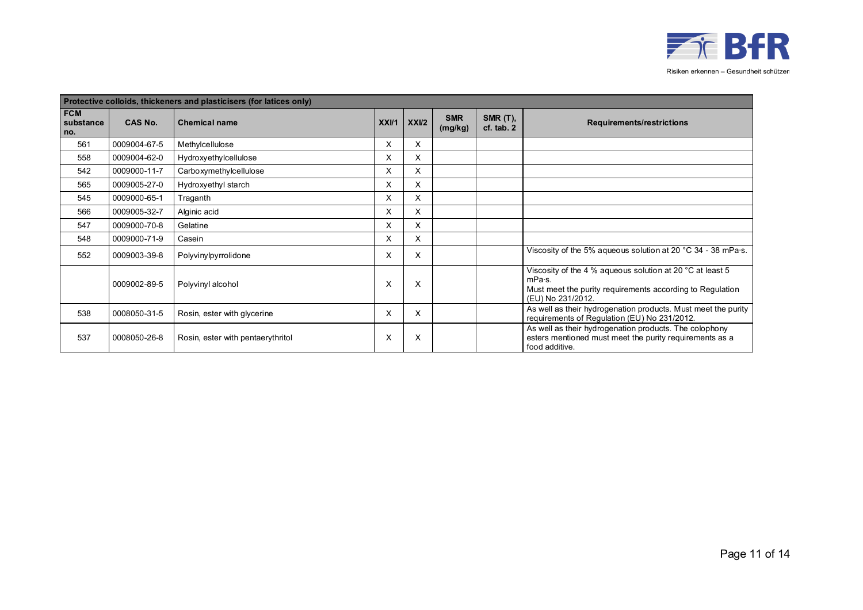

|                                | Protective colloids, thickeners and plasticisers (for latices only) |                                   |      |      |                       |                              |                                                                                                                                                       |  |  |  |  |
|--------------------------------|---------------------------------------------------------------------|-----------------------------------|------|------|-----------------------|------------------------------|-------------------------------------------------------------------------------------------------------------------------------------------------------|--|--|--|--|
| <b>FCM</b><br>substance<br>no. | <b>CAS No.</b>                                                      | <b>Chemical name</b>              | XXVI | XXU2 | <b>SMR</b><br>(mg/kg) | $SMR(T)$ ,<br>$cf.$ tab. $2$ | <b>Requirements/restrictions</b>                                                                                                                      |  |  |  |  |
| 561                            | 0009004-67-5                                                        | Methylcellulose                   | X    | X    |                       |                              |                                                                                                                                                       |  |  |  |  |
| 558                            | 0009004-62-0                                                        | Hydroxyethylcellulose             | X    | X    |                       |                              |                                                                                                                                                       |  |  |  |  |
| 542                            | 0009000-11-7                                                        | Carboxymethylcellulose            | X    | X    |                       |                              |                                                                                                                                                       |  |  |  |  |
| 565                            | 0009005-27-0                                                        | Hydroxyethyl starch               | X    | X    |                       |                              |                                                                                                                                                       |  |  |  |  |
| 545                            | 0009000-65-1                                                        | Traganth                          | X    | X    |                       |                              |                                                                                                                                                       |  |  |  |  |
| 566                            | 0009005-32-7                                                        | Alginic acid                      | X    | X    |                       |                              |                                                                                                                                                       |  |  |  |  |
| 547                            | 0009000-70-8                                                        | Gelatine                          | X    | X    |                       |                              |                                                                                                                                                       |  |  |  |  |
| 548                            | 0009000-71-9                                                        | Casein                            | X    | X    |                       |                              |                                                                                                                                                       |  |  |  |  |
| 552                            | 0009003-39-8                                                        | Polyvinylpyrrolidone              | X    | X    |                       |                              | Viscosity of the 5% aqueous solution at 20 $^{\circ}$ C 34 - 38 mPa $\cdot$ s.                                                                        |  |  |  |  |
|                                | 0009002-89-5                                                        | Polyvinyl alcohol                 | X    | X    |                       |                              | Viscosity of the 4 % aqueous solution at 20 °C at least 5<br>mPa·s.<br>Must meet the purity requirements according to Regulation<br>(EU) No 231/2012. |  |  |  |  |
| 538                            | 0008050-31-5                                                        | Rosin, ester with glycerine       | X    | X    |                       |                              | As well as their hydrogenation products. Must meet the purity<br>requirements of Regulation (EU) No 231/2012.                                         |  |  |  |  |
| 537                            | 0008050-26-8                                                        | Rosin, ester with pentaerythritol | X    | X    |                       |                              | As well as their hydrogenation products. The colophony<br>esters mentioned must meet the purity requirements as a<br>food additive.                   |  |  |  |  |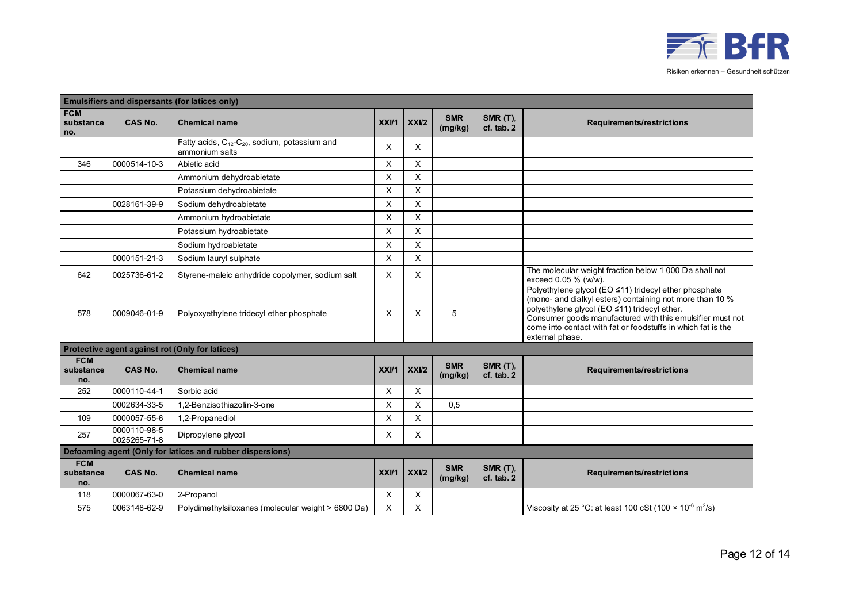

|                                | Emulsifiers and dispersants (for latices only) |                                                                                         |      |                           |                       |                               |                                                                                                                                                                                                                                                                                                                   |  |  |  |  |
|--------------------------------|------------------------------------------------|-----------------------------------------------------------------------------------------|------|---------------------------|-----------------------|-------------------------------|-------------------------------------------------------------------------------------------------------------------------------------------------------------------------------------------------------------------------------------------------------------------------------------------------------------------|--|--|--|--|
| <b>FCM</b><br>substance<br>no. | <b>CAS No.</b>                                 | <b>Chemical name</b>                                                                    | XXV1 | XXI/2                     | <b>SMR</b><br>(mg/kg) | <b>SMR (T),</b><br>cf. tab. 2 | <b>Requirements/restrictions</b>                                                                                                                                                                                                                                                                                  |  |  |  |  |
|                                |                                                | Fatty acids, C <sub>12</sub> -C <sub>20</sub> , sodium, potassium and<br>ammonium salts | X    | X                         |                       |                               |                                                                                                                                                                                                                                                                                                                   |  |  |  |  |
| 346                            | 0000514-10-3                                   | Abietic acid                                                                            | X    | X                         |                       |                               |                                                                                                                                                                                                                                                                                                                   |  |  |  |  |
|                                |                                                | Ammonium dehydroabietate                                                                | X    | $\boldsymbol{\mathsf{X}}$ |                       |                               |                                                                                                                                                                                                                                                                                                                   |  |  |  |  |
|                                |                                                | Potassium dehydroabietate                                                               | X    | X                         |                       |                               |                                                                                                                                                                                                                                                                                                                   |  |  |  |  |
|                                | 0028161-39-9                                   | Sodium dehydroabietate                                                                  | X    | X                         |                       |                               |                                                                                                                                                                                                                                                                                                                   |  |  |  |  |
|                                |                                                | Ammonium hydroabietate                                                                  | X    | X                         |                       |                               |                                                                                                                                                                                                                                                                                                                   |  |  |  |  |
|                                |                                                | Potassium hydroabietate                                                                 | X    | X                         |                       |                               |                                                                                                                                                                                                                                                                                                                   |  |  |  |  |
|                                |                                                | Sodium hydroabietate                                                                    | X    | $\sf X$                   |                       |                               |                                                                                                                                                                                                                                                                                                                   |  |  |  |  |
|                                | 0000151-21-3                                   | Sodium lauryl sulphate                                                                  | X    | X                         |                       |                               |                                                                                                                                                                                                                                                                                                                   |  |  |  |  |
| 642                            | 0025736-61-2                                   | Styrene-maleic anhydride copolymer, sodium salt                                         | X    | X                         |                       |                               | The molecular weight fraction below 1 000 Da shall not<br>exceed 0.05 % (w/w).                                                                                                                                                                                                                                    |  |  |  |  |
| 578                            | 0009046-01-9                                   | Polyoxyethylene tridecyl ether phosphate                                                | X    | X                         | 5                     |                               | Polyethylene glycol (EO ≤11) tridecyl ether phosphate<br>(mono- and dialkyl esters) containing not more than 10 %<br>polyethylene glycol (EO ≤11) tridecyl ether.<br>Consumer goods manufactured with this emulsifier must not<br>come into contact with fat or foodstuffs in which fat is the<br>external phase. |  |  |  |  |
|                                |                                                | Protective agent against rot (Only for latices)                                         |      |                           |                       |                               |                                                                                                                                                                                                                                                                                                                   |  |  |  |  |
| <b>FCM</b><br>substance<br>no. | <b>CAS No.</b>                                 | <b>Chemical name</b>                                                                    | XXV1 | XX <sub>U</sub> 2         | <b>SMR</b><br>(mg/kg) | <b>SMR (T),</b><br>cf. tab. 2 | <b>Requirements/restrictions</b>                                                                                                                                                                                                                                                                                  |  |  |  |  |
| 252                            | 0000110-44-1                                   | Sorbic acid                                                                             | X    | X                         |                       |                               |                                                                                                                                                                                                                                                                                                                   |  |  |  |  |
|                                | 0002634-33-5                                   | 1.2-Benzisothiazolin-3-one                                                              | X    | X                         | 0,5                   |                               |                                                                                                                                                                                                                                                                                                                   |  |  |  |  |
| 109                            | 0000057-55-6                                   | 1,2-Propanediol                                                                         | X    | X                         |                       |                               |                                                                                                                                                                                                                                                                                                                   |  |  |  |  |
| 257                            | 0000110-98-5<br>0025265-71-8                   | Dipropylene glycol                                                                      | X    | X                         |                       |                               |                                                                                                                                                                                                                                                                                                                   |  |  |  |  |
|                                |                                                | Defoaming agent (Only for latices and rubber dispersions)                               |      |                           |                       |                               |                                                                                                                                                                                                                                                                                                                   |  |  |  |  |
| <b>FCM</b><br>substance<br>no. | <b>CAS No.</b>                                 | <b>Chemical name</b>                                                                    | XXV1 | XXI/2                     | <b>SMR</b><br>(mg/kg) | <b>SMR (T),</b><br>cf. tab. 2 | <b>Requirements/restrictions</b>                                                                                                                                                                                                                                                                                  |  |  |  |  |
| 118                            | 0000067-63-0                                   | 2-Propanol                                                                              | X    | X                         |                       |                               |                                                                                                                                                                                                                                                                                                                   |  |  |  |  |
| 575                            | 0063148-62-9                                   | Polydimethylsiloxanes (molecular weight > 6800 Da)                                      | X    | X                         |                       |                               | Viscosity at 25 °C: at least 100 cSt (100 $\times$ 10 <sup>-6</sup> m <sup>2</sup> /s)                                                                                                                                                                                                                            |  |  |  |  |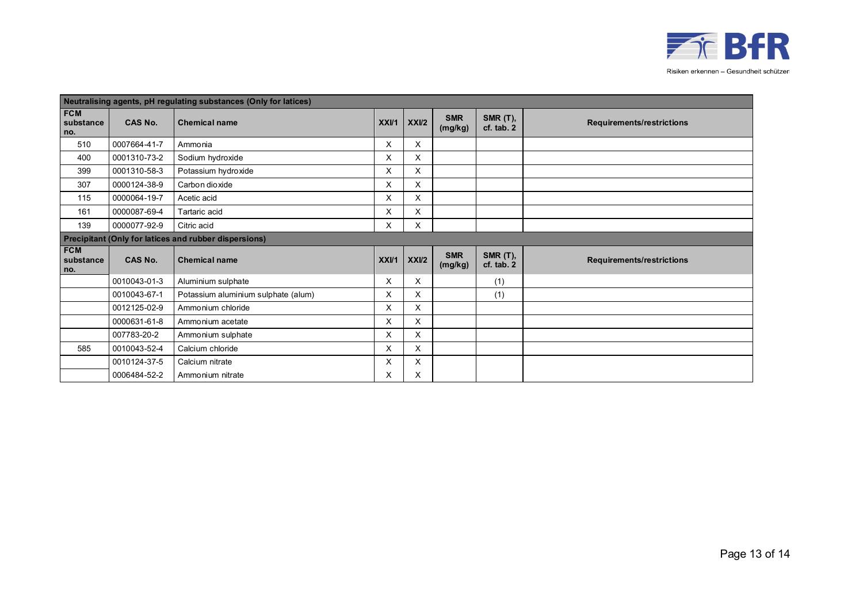

|                                | Neutralising agents, pH regulating substances (Only for latices) |                                                       |      |       |                       |                                   |                                  |  |  |  |  |
|--------------------------------|------------------------------------------------------------------|-------------------------------------------------------|------|-------|-----------------------|-----------------------------------|----------------------------------|--|--|--|--|
| <b>FCM</b><br>substance<br>no. | <b>CAS No.</b>                                                   | <b>Chemical name</b>                                  | XXU1 | XXII2 | <b>SMR</b><br>(mg/kg) | <b>SMR (T),</b><br>$cf.$ tab. $2$ | <b>Requirements/restrictions</b> |  |  |  |  |
| 510                            | 0007664-41-7                                                     | Ammonia                                               | X    | X     |                       |                                   |                                  |  |  |  |  |
| 400                            | 0001310-73-2                                                     | Sodium hydroxide                                      | X    | X     |                       |                                   |                                  |  |  |  |  |
| 399                            | 0001310-58-3                                                     | Potassium hydroxide                                   | X    | X     |                       |                                   |                                  |  |  |  |  |
| 307                            | 0000124-38-9                                                     | Carbon dioxide                                        | X    | X     |                       |                                   |                                  |  |  |  |  |
| 115                            | 0000064-19-7                                                     | Acetic acid                                           | X    | X     |                       |                                   |                                  |  |  |  |  |
| 161                            | 0000087-69-4                                                     | Tartaric acid                                         | X    | X     |                       |                                   |                                  |  |  |  |  |
| 139                            | 0000077-92-9                                                     | Citric acid                                           | X    | X     |                       |                                   |                                  |  |  |  |  |
|                                |                                                                  | Precipitant (Only for latices and rubber dispersions) |      |       |                       |                                   |                                  |  |  |  |  |
| <b>FCM</b><br>substance<br>no. | <b>CAS No.</b>                                                   | <b>Chemical name</b>                                  | XXVI | XXII2 | <b>SMR</b><br>(mg/kg) | <b>SMR (T),</b><br>cf. tab. 2     | <b>Requirements/restrictions</b> |  |  |  |  |
|                                | 0010043-01-3                                                     | Aluminium sulphate                                    | X    | X     |                       | (1)                               |                                  |  |  |  |  |
|                                | 0010043-67-1                                                     | Potassium aluminium sulphate (alum)                   | X    | X     |                       | (1)                               |                                  |  |  |  |  |
|                                | 0012125-02-9                                                     | Ammonium chloride                                     | X    | X     |                       |                                   |                                  |  |  |  |  |
|                                | 0000631-61-8                                                     | Ammonium acetate                                      | X    | X     |                       |                                   |                                  |  |  |  |  |
|                                | 007783-20-2                                                      | Ammonium sulphate                                     | X    | X     |                       |                                   |                                  |  |  |  |  |
| 585                            | 0010043-52-4                                                     | Calcium chloride                                      | X    | X     |                       |                                   |                                  |  |  |  |  |
|                                | 0010124-37-5                                                     | Calcium nitrate                                       | X    | X     |                       |                                   |                                  |  |  |  |  |
|                                | 0006484-52-2                                                     | Ammonium nitrate                                      | X    | X     |                       |                                   |                                  |  |  |  |  |